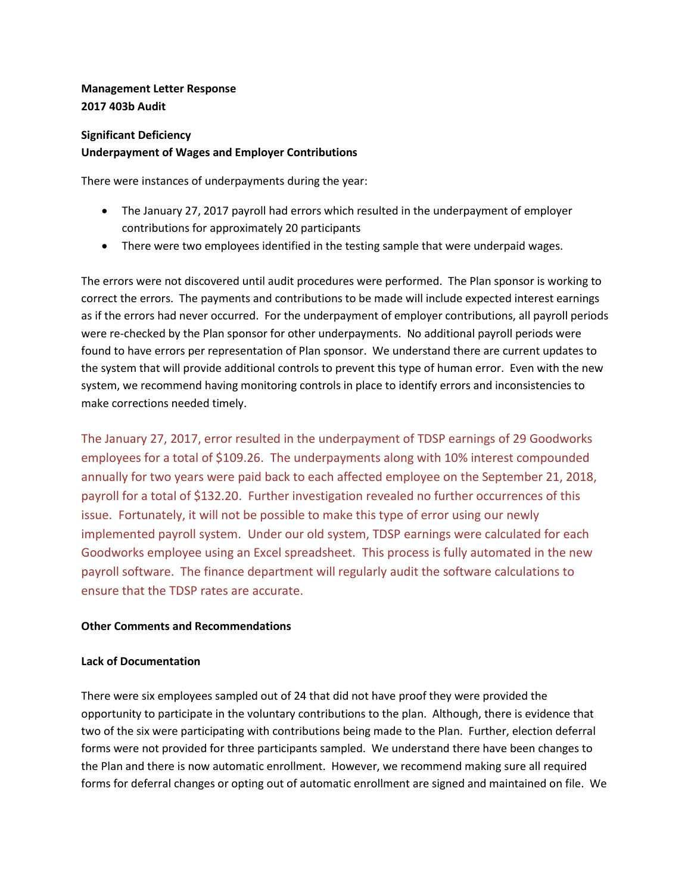# **Management Letter Response 2017 403b Audit**

# **Significant Deficiency Underpayment of Wages and Employer Contributions**

There were instances of underpayments during the year:

- The January 27, 2017 payroll had errors which resulted in the underpayment of employer contributions for approximately 20 participants
- There were two employees identified in the testing sample that were underpaid wages.

The errors were not discovered until audit procedures were performed. The Plan sponsor is working to correct the errors. The payments and contributions to be made will include expected interest earnings as if the errors had never occurred. For the underpayment of employer contributions, all payroll periods were re-checked by the Plan sponsor for other underpayments. No additional payroll periods were found to have errors per representation of Plan sponsor. We understand there are current updates to the system that will provide additional controls to prevent this type of human error. Even with the new system, we recommend having monitoring controls in place to identify errors and inconsistencies to make corrections needed timely.

The January 27, 2017, error resulted in the underpayment of TDSP earnings of 29 Goodworks employees for a total of \$109.26. The underpayments along with 10% interest compounded annually for two years were paid back to each affected employee on the September 21, 2018, payroll for a total of \$132.20. Further investigation revealed no further occurrences of this issue. Fortunately, it will not be possible to make this type of error using our newly implemented payroll system. Under our old system, TDSP earnings were calculated for each Goodworks employee using an Excel spreadsheet. This process is fully automated in the new payroll software. The finance department will regularly audit the software calculations to ensure that the TDSP rates are accurate.

## **Other Comments and Recommendations**

### **Lack of Documentation**

There were six employees sampled out of 24 that did not have proof they were provided the opportunity to participate in the voluntary contributions to the plan. Although, there is evidence that two of the six were participating with contributions being made to the Plan. Further, election deferral forms were not provided for three participants sampled. We understand there have been changes to the Plan and there is now automatic enrollment. However, we recommend making sure all required forms for deferral changes or opting out of automatic enrollment are signed and maintained on file. We